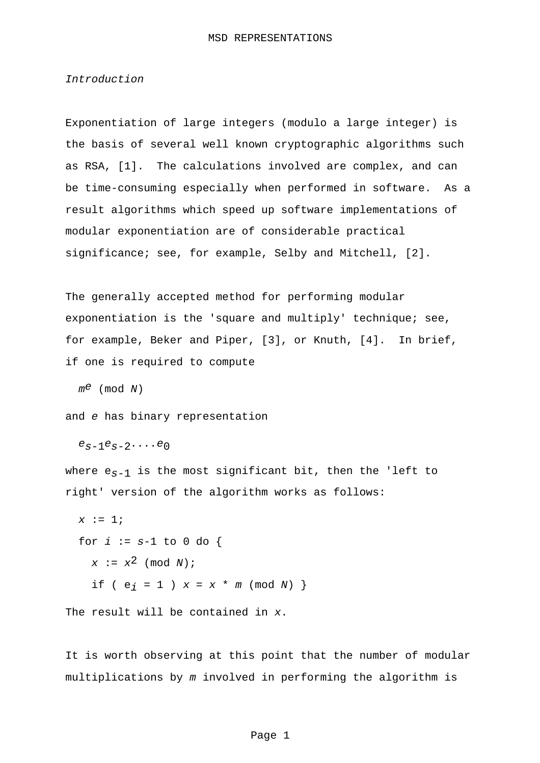## Introduction

Exponentiation of large integers (modulo a large integer) is the basis of several well known cryptographic algorithms such as RSA, [1]. The calculations involved are complex, and can be time-consuming especially when performed in software. As a result algorithms which speed up software implementations of modular exponentiation are of considerable practical significance; see, for example, Selby and Mitchell, [2].

The generally accepted method for performing modular exponentiation is the 'square and multiply' technique; see, for example, Beker and Piper, [3], or Knuth, [4]. In brief, if one is required to compute

 $m^e$  (mod N)

and e has binary representation

 $e_{s-1}e_{s-2}\ldots e_0$ 

where  $e_{S-1}$  is the most significant bit, then the 'left to right' version of the algorithm works as follows:

```
x := 1;for i := s-1 to 0 do {
x := x^2 \pmod{N};
if ( e_i = 1 ) x = x * m \pmod{N} }
```
The result will be contained in x.

It is worth observing at this point that the number of modular multiplications by m involved in performing the algorithm is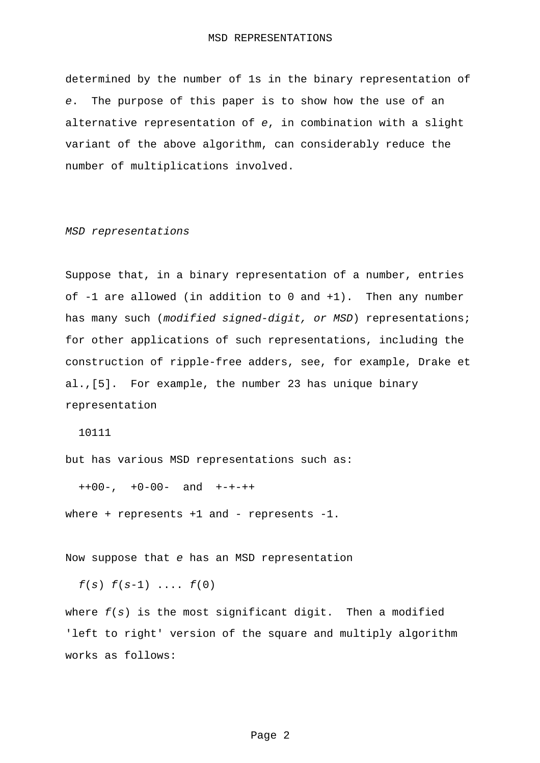determined by the number of 1s in the binary representation of e. The purpose of this paper is to show how the use of an alternative representation of e, in combination with a slight variant of the above algorithm, can considerably reduce the number of multiplications involved.

## MSD representations

Suppose that, in a binary representation of a number, entries of -1 are allowed (in addition to 0 and +1). Then any number has many such (modified signed-digit, or MSD) representations; for other applications of such representations, including the construction of ripple-free adders, see, for example, Drake et al.,[5]. For example, the number 23 has unique binary representation

10111

but has various MSD representations such as:

++00-, +0-00- and +-+-++

where + represents  $+1$  and - represents  $-1$ .

Now suppose that e has an MSD representation

 $f(s) f(s-1) ... f(0)$ 

where  $f(s)$  is the most significant digit. Then a modified 'left to right' version of the square and multiply algorithm works as follows: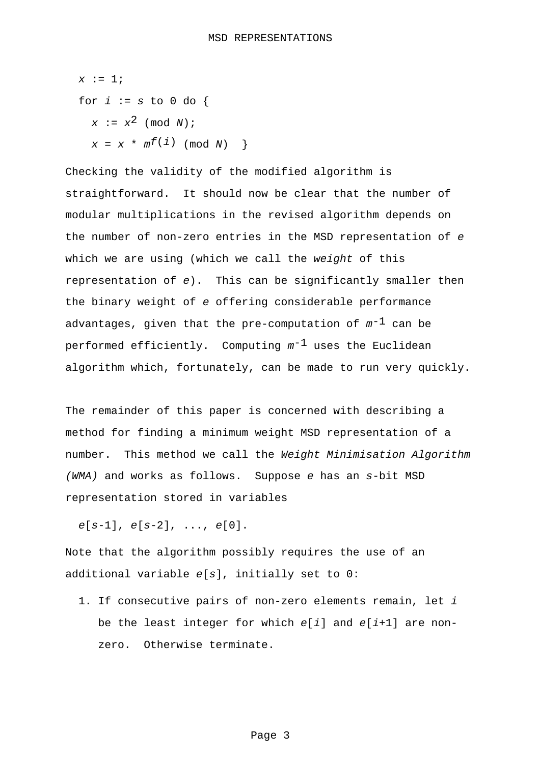$$
x := 1;
$$
  
for  $i := s \text{ to } 0 \text{ do } \{$   

$$
x := x^{2} \pmod{N};
$$
  

$$
x = x * m^{f(i)} \pmod{N} \}
$$

Checking the validity of the modified algorithm is straightforward. It should now be clear that the number of modular multiplications in the revised algorithm depends on the number of non-zero entries in the MSD representation of e which we are using (which we call the weight of this representation of e). This can be significantly smaller then the binary weight of e offering considerable performance advantages, given that the pre-computation of  $m^{-1}$  can be performed efficiently. Computing  $m^{-1}$  uses the Euclidean algorithm which, fortunately, can be made to run very quickly.

The remainder of this paper is concerned with describing a method for finding a minimum weight MSD representation of a number. This method we call the Weight Minimisation Algorithm (WMA) and works as follows. Suppose e has an s-bit MSD representation stored in variables

 $e[s-1], e[s-2], \ldots, e[0].$ 

Note that the algorithm possibly requires the use of an additional variable e[s], initially set to 0:

1. If consecutive pairs of non-zero elements remain, let i be the least integer for which  $e[i]$  and  $e[i+1]$  are nonzero. Otherwise terminate.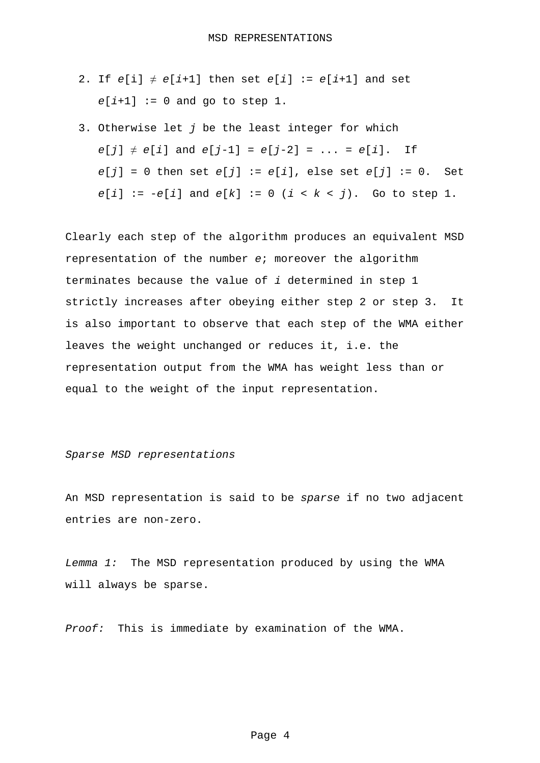- 2. If  $e[i] \neq e[i+1]$  then set  $e[i] := e[i+1]$  and set  $e[i+1] := 0$  and go to step 1.
- 3. Otherwise let  $j$  be the least integer for which  $e[j] \neq e[i]$  and  $e[j-1] = e[j-2] = ... = e[i]$ . If  $e[j] = 0$  then set  $e[j] := e[i]$ , else set  $e[j] := 0$ . Set  $e[i] := -e[i]$  and  $e[k] := 0$   $(i < k < j)$ . Go to step 1.

Clearly each step of the algorithm produces an equivalent MSD representation of the number e; moreover the algorithm terminates because the value of i determined in step 1 strictly increases after obeying either step 2 or step 3. It is also important to observe that each step of the WMA either leaves the weight unchanged or reduces it, i.e. the representation output from the WMA has weight less than or equal to the weight of the input representation.

## Sparse MSD representations

An MSD representation is said to be sparse if no two adjacent entries are non-zero.

Lemma 1: The MSD representation produced by using the WMA will always be sparse.

Proof: This is immediate by examination of the WMA.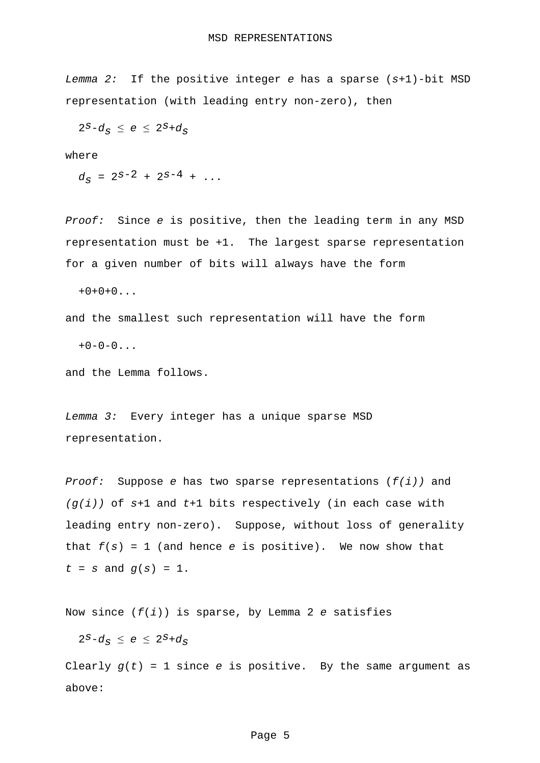Lemma 2: If the positive integer e has a sparse  $(s+1)$ -bit MSD representation (with leading entry non-zero), then

 $2^S-d_S \le e \le 2^S+d_S$ 

where

 $d_S = 2^{S-2} + 2^{S-4} + \ldots$ 

Proof: Since e is positive, then the leading term in any MSD representation must be +1. The largest sparse representation for a given number of bits will always have the form

 $+0+0+0...$ 

and the smallest such representation will have the form

 $+0-0-0...$ 

and the Lemma follows.

Lemma 3: Every integer has a unique sparse MSD representation.

Proof: Suppose e has two sparse representations  $(f(i))$  and  $(g(i))$  of s+1 and t+1 bits respectively (in each case with leading entry non-zero). Suppose, without loss of generality that  $f(s) = 1$  (and hence e is positive). We now show that  $t = s$  and  $q(s) = 1$ .

Now since  $(f(i))$  is sparse, by Lemma 2 e satisfies

 $2^S-d_{\mathcal{S}} \leq e \leq 2^S+d_{\mathcal{S}}$ 

Clearly  $g(t) = 1$  since e is positive. By the same argument as above: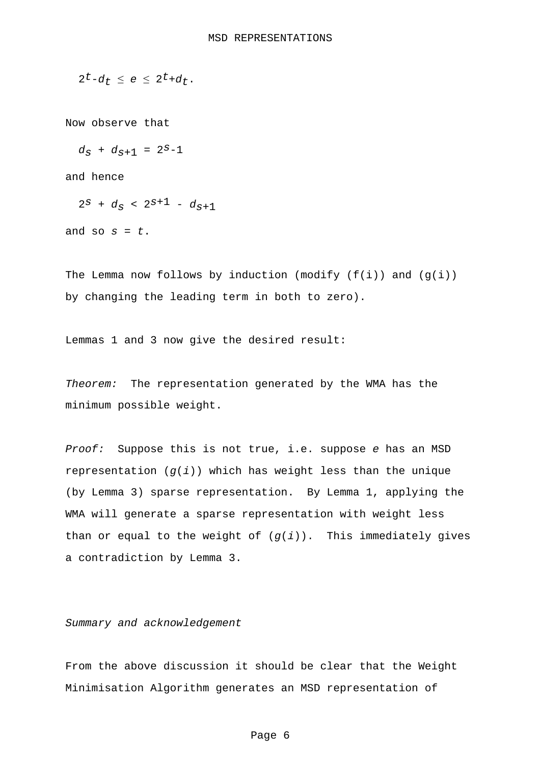$$
2^t-d_t \leq e \leq 2^t+d_t.
$$

Now observe that

 $d_S + d_{S+1} = 2^{S-1}$ 

and hence

```
2^{s} + d_{s} < 2^{s+1} - d_{s+1}
```
and so  $s = t$ .

The Lemma now follows by induction (modify  $(f(i))$  and  $(g(i))$ by changing the leading term in both to zero).

Lemmas 1 and 3 now give the desired result:

Theorem: The representation generated by the WMA has the minimum possible weight.

Proof: Suppose this is not true, i.e. suppose e has an MSD representation  $(g(i))$  which has weight less than the unique (by Lemma 3) sparse representation. By Lemma 1, applying the WMA will generate a sparse representation with weight less than or equal to the weight of  $(g(i))$ . This immediately gives a contradiction by Lemma 3.

Summary and acknowledgement

From the above discussion it should be clear that the Weight Minimisation Algorithm generates an MSD representation of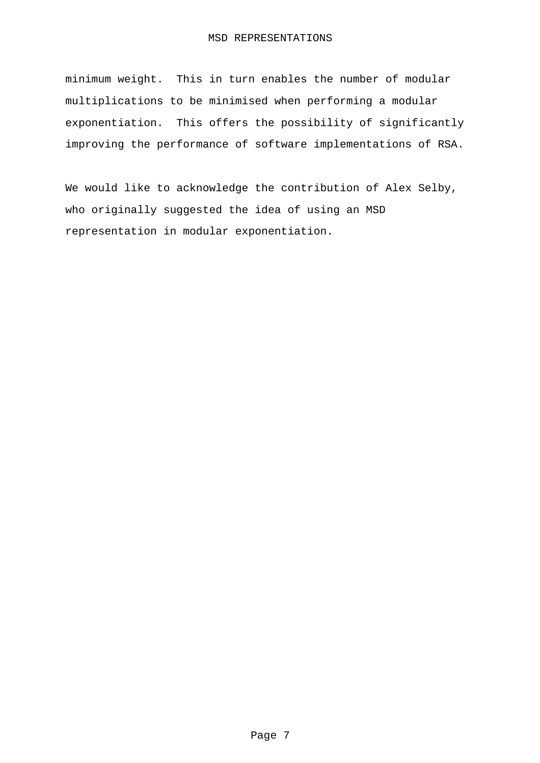## MSD REPRESENTATIONS

minimum weight. This in turn enables the number of modular multiplications to be minimised when performing a modular exponentiation. This offers the possibility of significantly improving the performance of software implementations of RSA.

We would like to acknowledge the contribution of Alex Selby, who originally suggested the idea of using an MSD representation in modular exponentiation.